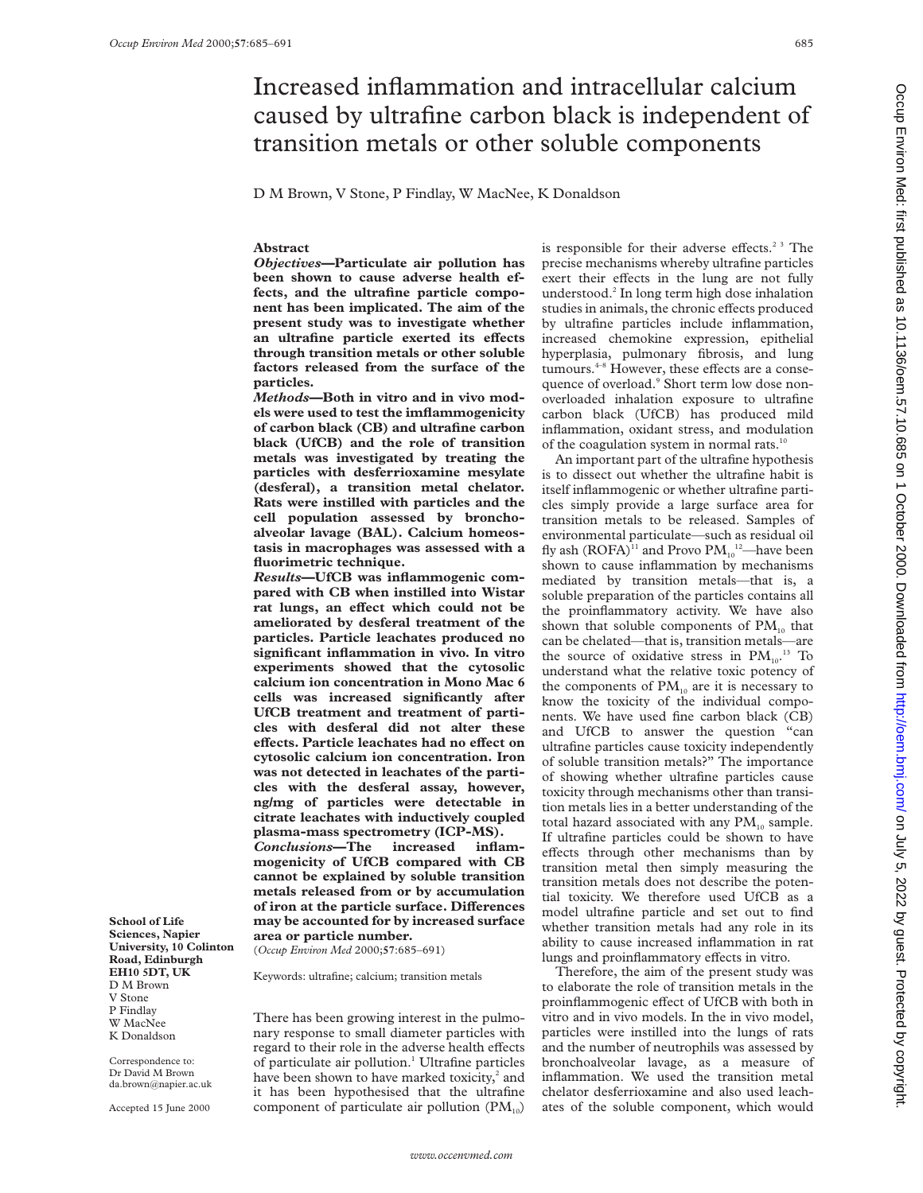# Increased inflammation and intracellular calcium caused by ultrafine carbon black is independent of transition metals or other soluble components

D M Brown, V Stone, P Findlay, W MacNee, K Donaldson

# **Abstract**

*Objectives***—Particulate air pollution has been shown to cause adverse health effects, and the ultrafine particle component has been implicated. The aim of the present study was to investigate whether** an ultrafine particle exerted its effects **through transition metals or other soluble factors released from the surface of the particles.**

*Methods***—Both in vitro and in vivo models were used to test the imflammogenicity of carbon black (CB) and ultrafine carbon black (UfCB) and the role of transition metals was investigated by treating the particles with desferrioxamine mesylate (desferal), a transition metal chelator. Rats were instilled with particles and the cell population assessed by bronchoalveolar lavage (BAL). Calcium homeostasis in macrophages was assessed with a fluorimetric technique.**

*Results***—UfCB was inflammogenic compared with CB when instilled into Wistar** rat lungs, an effect which could not be **ameliorated by desferal treatment of the particles. Particle leachates produced no significant inflammation in vivo. In vitro experiments showed that the cytosolic calcium ion concentration in Mono Mac 6 cells was increased significantly after UfCB treatment and treatment of particles with desferal did not alter these eVects. Particle leachates had no eVect on cytosolic calcium ion concentration. Iron was not detected in leachates of the particles with the desferal assay, however, ng/mg of particles were detectable in citrate leachates with inductively coupled plasma-mass spectrometry (ICP-MS).** *Conclusions***—The increased mogenicity of UfCB compared with CB cannot be explained by soluble transition metals released from or by accumulation**  $of$  iron at the particle surface. Differences **may be accounted for by increased surface area or particle number.** (*Occup Environ Med* 2000;**57**:685–691)

Keywords: ultrafine; calcium; transition metals

There has been growing interest in the pulmonary response to small diameter particles with regard to their role in the adverse health effects of particulate air pollution.<sup>1</sup> Ultrafine particles have been shown to have marked toxicity, $2$  and it has been hypothesised that the ultrafine component of particulate air pollution  $(PM_{10})$  is responsible for their adverse effects.<sup>2 3</sup> The precise mechanisms whereby ultrafine particles exert their effects in the lung are not fully understood.2 In long term high dose inhalation studies in animals, the chronic effects produced by ultrafine particles include inflammation, increased chemokine expression, epithelial hyperplasia, pulmonary fibrosis, and lung tumours.<sup>4-8</sup> However, these effects are a consequence of overload.<sup>9</sup> Short term low dose nonoverloaded inhalation exposure to ultrafine carbon black (UfCB) has produced mild inflammation, oxidant stress, and modulation of the coagulation system in normal rats.<sup>10</sup>

An important part of the ultrafine hypothesis is to dissect out whether the ultrafine habit is itself inflammogenic or whether ultrafine particles simply provide a large surface area for transition metals to be released. Samples of environmental particulate—such as residual oil fly ash  $(\text{ROFA})^{11}$  and Provo  $\text{PM}_{10}^{12}$ —have been shown to cause inflammation by mechanisms mediated by transition metals—that is, a soluble preparation of the particles contains all the proinflammatory activity. We have also shown that soluble components of  $PM_{10}$  that can be chelated—that is, transition metals—are the source of oxidative stress in  $PM_{10}$ .<sup>13</sup> To understand what the relative toxic potency of the components of  $PM_{10}$  are it is necessary to know the toxicity of the individual components. We have used fine carbon black (CB) and UfCB to answer the question "can ultrafine particles cause toxicity independently of soluble transition metals?" The importance of showing whether ultrafine particles cause toxicity through mechanisms other than transition metals lies in a better understanding of the total hazard associated with any  $PM_{10}$  sample. If ultrafine particles could be shown to have effects through other mechanisms than by transition metal then simply measuring the transition metals does not describe the potential toxicity. We therefore used UfCB as a model ultrafine particle and set out to find whether transition metals had any role in its ability to cause increased inflammation in rat lungs and proinflammatory effects in vitro.

Therefore, the aim of the present study was to elaborate the role of transition metals in the proinflammogenic effect of UfCB with both in vitro and in vivo models. In the in vivo model, particles were instilled into the lungs of rats and the number of neutrophils was assessed by bronchoalveolar lavage, as a measure of inflammation. We used the transition metal chelator desferrioxamine and also used leachates of the soluble component, which would

**School of Life Sciences, Napier University, 10 Colinton Road, Edinburgh EH10 5DT, UK** D M Brown V Stone P Findlay W MacNee K Donaldson

Correspondence to: Dr David M Brown da.brown@napier.ac.uk

Accepted 15 June 2000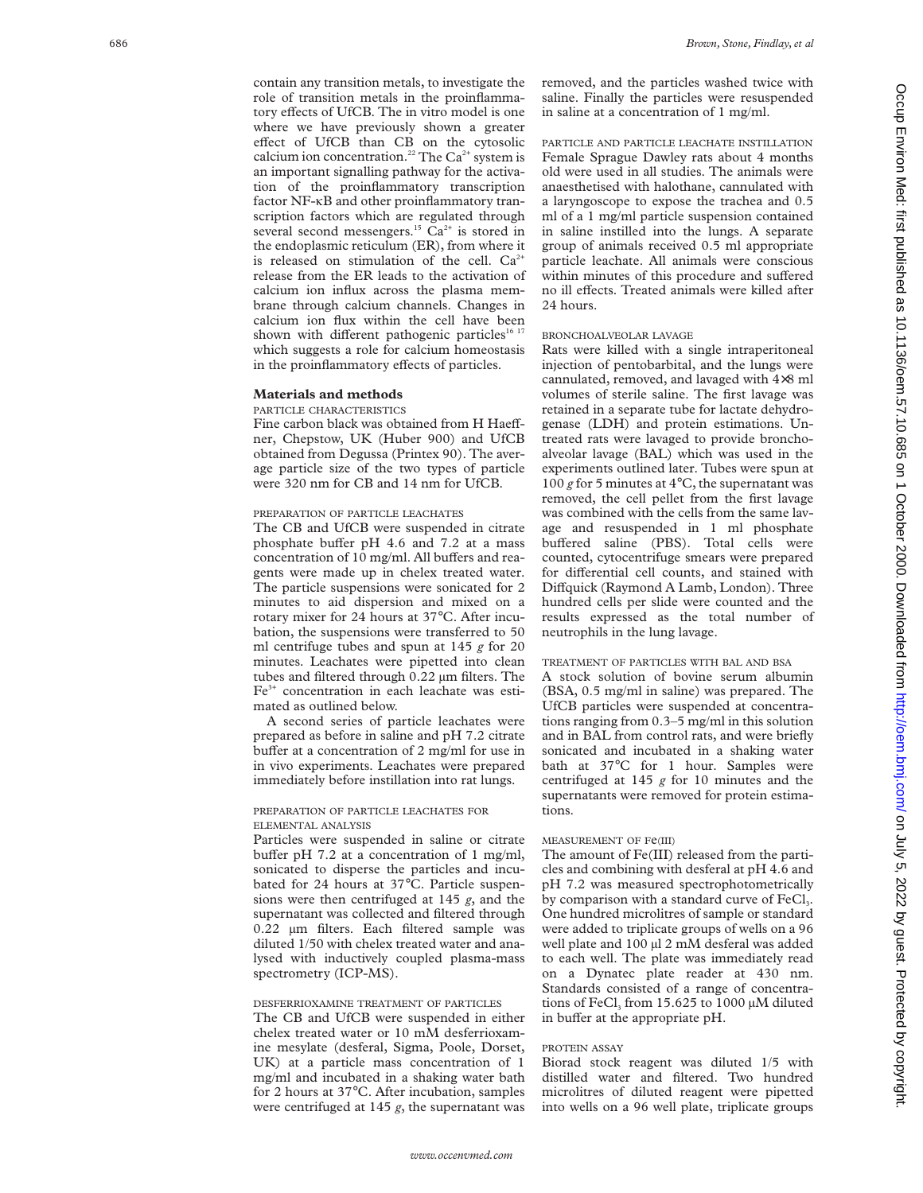contain any transition metals, to investigate the role of transition metals in the proinflammatory effects of UfCB. The in vitro model is one where we have previously shown a greater effect of UfCB than CB on the cytosolic calcium ion concentration.<sup>22</sup> The Ca<sup>2+</sup> system is an important signalling pathway for the activation of the proinflammatory transcription factor NF-KB and other proinflammatory transcription factors which are regulated through several second messengers.<sup>15</sup>  $\bar{C}a^{2+}$  is stored in the endoplasmic reticulum (ER), from where it is released on stimulation of the cell.  $Ca^{2+}$ release from the ER leads to the activation of calcium ion influx across the plasma membrane through calcium channels. Changes in calcium ion flux within the cell have been shown with different pathogenic particles<sup>16</sup><sup>17</sup> which suggests a role for calcium homeostasis in the proinflammatory effects of particles.

## **Materials and methods**

#### PARTICLE CHARACTERISTICS

Fine carbon black was obtained from H Haeffner, Chepstow, UK (Huber 900) and UfCB obtained from Degussa (Printex 90). The average particle size of the two types of particle were 320 nm for CB and 14 nm for UfCB.

## PREPARATION OF PARTICLE LEACHATES

The CB and UfCB were suspended in citrate phosphate buffer pH 4.6 and 7.2 at a mass concentration of 10 mg/ml. All buffers and reagents were made up in chelex treated water. The particle suspensions were sonicated for 2 minutes to aid dispersion and mixed on a rotary mixer for 24 hours at 37 °C. After incubation, the suspensions were transferred to 50 ml centrifuge tubes and spun at 145 *g* for 20 minutes. Leachates were pipetted into clean tubes and filtered through 0.22 µm filters. The Fe3+ concentration in each leachate was estimated as outlined below.

A second series of particle leachates were prepared as before in saline and pH 7.2 citrate buffer at a concentration of 2 mg/ml for use in in vivo experiments. Leachates were prepared immediately before instillation into rat lungs.

## PREPARATION OF PARTICLE LEACHATES FOR ELEMENTAL ANALYSIS

Particles were suspended in saline or citrate buffer pH 7.2 at a concentration of 1 mg/ml, sonicated to disperse the particles and incubated for 24 hours at 37°C. Particle suspensions were then centrifuged at 145 *g*, and the supernatant was collected and filtered through 0.22 µm filters. Each filtered sample was diluted 1/50 with chelex treated water and analysed with inductively coupled plasma-mass spectrometry (ICP-MS).

## DESFERRIOXAMINE TREATMENT OF PARTICLES

The CB and UfCB were suspended in either chelex treated water or 10 mM desferrioxamine mesylate (desferal, Sigma, Poole, Dorset, UK) at a particle mass concentration of 1 mg/ml and incubated in a shaking water bath for 2 hours at 37 °C. After incubation, samples were centrifuged at 145 *g*, the supernatant was

removed, and the particles washed twice with saline. Finally the particles were resuspended in saline at a concentration of 1 mg/ml.

PARTICLE AND PARTICLE LEACHATE INSTILLATION Female Sprague Dawley rats about 4 months old were used in all studies. The animals were anaesthetised with halothane, cannulated with a laryngoscope to expose the trachea and 0.5 ml of a 1 mg/ml particle suspension contained in saline instilled into the lungs. A separate group of animals received 0.5 ml appropriate particle leachate. All animals were conscious within minutes of this procedure and suffered no ill effects. Treated animals were killed after 24 hours.

### BRONCHOALVEOLAR LAVAGE

Rats were killed with a single intraperitoneal injection of pentobarbital, and the lungs were cannulated, removed, and lavaged with 4 ×8 ml volumes of sterile saline. The first lavage was retained in a separate tube for lactate dehydrogenase (LDH) and protein estimations. Untreated rats were lavaged to provide bronchoalveolar lavage (BAL) which was used in the experiments outlined later. Tubes were spun at 100  $g$  for 5 minutes at  $4^{\circ}$ C, the supernatant was removed, the cell pellet from the first lavage was combined with the cells from the same lavage and resuspended in 1 ml phosphate buffered saline (PBS). Total cells were counted, cytocentrifuge smears were prepared for differential cell counts, and stained with Diffquick (Raymond A Lamb, London). Three hundred cells per slide were counted and the results expressed as the total number of neutrophils in the lung lavage.

## TREATMENT OF PARTICLES WITH BAL AND BSA

A stock solution of bovine serum albumin (BSA, 0.5 mg/ml in saline) was prepared. The UfCB particles were suspended at concentrations ranging from 0.3–5 mg/ml in this solution and in BAL from control rats, and were briefly sonicated and incubated in a shaking water bath at 37 °C for 1 hour. Samples were centrifuged at 145 *g* for 10 minutes and the supernatants were removed for protein estimations.

## MEASUREMENT OF Fe(III)

The amount of Fe(III) released from the particles and combining with desferal at pH 4.6 and pH 7.2 was measured spectrophotometrically by comparison with a standard curve of FeCl<sub>3</sub>. One hundred microlitres of sample or standard were added to triplicate groups of wells on a 96 well plate and 100 µl 2 mM desferal was added to each well. The plate was immediately read on a Dynatec plate reader at 430 nm. Standards consisted of a range of concentrations of FeCl<sub>3</sub> from 15.625 to 1000  $\mu$ M diluted in buffer at the appropriate pH.

## PROTEIN ASSAY

Biorad stock reagent was diluted 1/5 with distilled water and filtered. Two hundred microlitres of diluted reagent were pipetted into wells on a 96 well plate, triplicate groups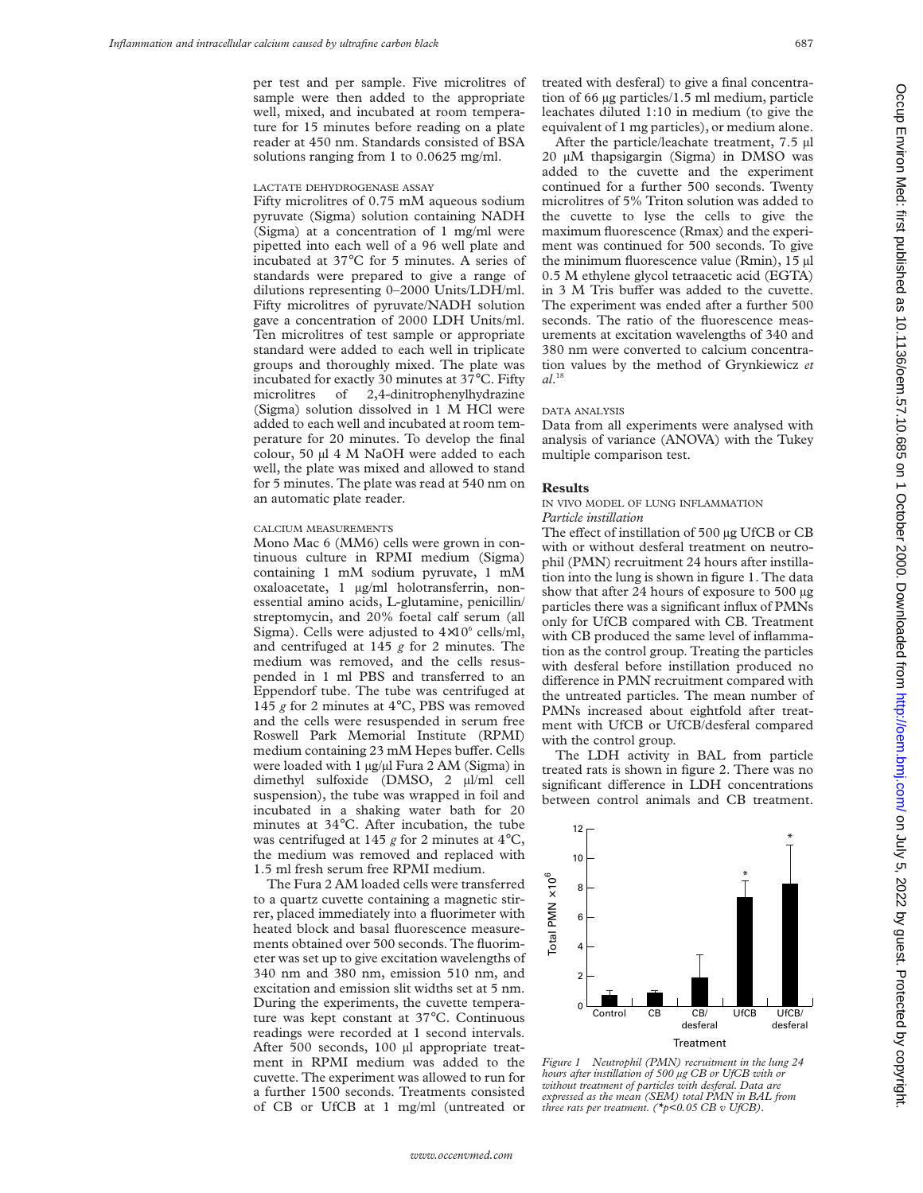per test and per sample. Five microlitres of sample were then added to the appropriate well, mixed, and incubated at room temperature for 15 minutes before reading on a plate reader at 450 nm. Standards consisted of BSA solutions ranging from 1 to 0.0625 mg/ml.

#### LACTATE DEHYDROGENASE ASSAY

Fifty microlitres of 0.75 mM aqueous sodium pyruvate (Sigma) solution containing NADH (Sigma) at a concentration of 1 mg/ml were pipetted into each well of a 96 well plate and incubated at 37°C for 5 minutes. A series of standards were prepared to give a range of dilutions representing 0–2000 Units/LDH/ml. Fifty microlitres of pyruvate/NADH solution gave a concentration of 2000 LDH Units/ml. Ten microlitres of test sample or appropriate standard were added to each well in triplicate groups and thoroughly mixed. The plate was incubated for exactly 30 minutes at 37°C. Fifty microlitres of 2,4-dinitrophenylhydrazine (Sigma) solution dissolved in 1 M HCl were added to each well and incubated at room temperature for 20 minutes. To develop the final colour, 50 µl 4 M NaOH were added to each well, the plate was mixed and allowed to stand for 5 minutes. The plate was read at 540 nm on an automatic plate reader.

## CALCIUM MEASUREMENTS

Mono Mac 6 (MM6) cells were grown in continuous culture in RPMI medium (Sigma) containing 1 mM sodium pyruvate, 1 mM oxaloacetate, 1 µg/ml holotransferrin, nonessential amino acids, L-glutamine, penicillin/ streptomycin, and 20% foetal calf serum (all Sigma). Cells were adjusted to  $4\times10^6$  cells/ml, and centrifuged at 145 *g* for 2 minutes. The medium was removed, and the cells resuspended in 1 ml PBS and transferred to an Eppendorf tube. The tube was centrifuged at 145 *g* for 2 minutes at 4°C, PBS was removed and the cells were resuspended in serum free Roswell Park Memorial Institute (RPMI) medium containing 23 mM Hepes buffer. Cells were loaded with  $1 \mu g / \mu l$  Fura 2 AM (Sigma) in dimethyl sulfoxide (DMSO, 2 µl/ml cell suspension), the tube was wrapped in foil and incubated in a shaking water bath for 20 minutes at 34°C. After incubation, the tube was centrifuged at 145 *g* for 2 minutes at 4°C, the medium was removed and replaced with 1.5 ml fresh serum free RPMI medium.

The Fura 2 AM loaded cells were transferred to a quartz cuvette containing a magnetic stirrer, placed immediately into a fluorimeter with heated block and basal fluorescence measurements obtained over 500 seconds. The fluorimeter was set up to give excitation wavelengths of 340 nm and 380 nm, emission 510 nm, and excitation and emission slit widths set at 5 nm. During the experiments, the cuvette temperature was kept constant at 37°C. Continuous readings were recorded at 1 second intervals. After 500 seconds, 100 µl appropriate treatment in RPMI medium was added to the cuvette. The experiment was allowed to run for a further 1500 seconds. Treatments consisted of CB or UfCB at 1 mg/ml (untreated or

treated with desferal) to give a final concentration of 66 µg particles/1.5 ml medium, particle leachates diluted 1:10 in medium (to give the equivalent of 1 mg particles), or medium alone.

After the particle/leachate treatment, 7.5 µl 20 µM thapsigargin (Sigma) in DMSO was added to the cuvette and the experiment continued for a further 500 seconds. Twenty microlitres of 5% Triton solution was added to the cuvette to lyse the cells to give the maximum fluorescence (Rmax) and the experiment was continued for 500 seconds. To give the minimum fluorescence value (Rmin), 15 µl 0.5 M ethylene glycol tetraacetic acid (EGTA) in 3 M Tris buffer was added to the cuvette. The experiment was ended after a further 500 seconds. The ratio of the fluorescence measurements at excitation wavelengths of 340 and 380 nm were converted to calcium concentration values by the method of Grynkiewicz *et al*. 18

#### DATA ANALYSIS

Data from all experiments were analysed with analysis of variance (ANOVA) with the Tukey multiple comparison test.

### **Results**

## IN VIVO MODEL OF LUNG INFLAMMATION *Particle instillation*

The effect of instillation of 500 µg UfCB or CB with or without desferal treatment on neutrophil (PMN) recruitment 24 hours after instillation into the lung is shown in figure 1. The data show that after 24 hours of exposure to 500 µg particles there was a significant influx of PMNs only for UfCB compared with CB. Treatment with CB produced the same level of inflammation as the control group. Treating the particles with desferal before instillation produced no difference in PMN recruitment compared with the untreated particles. The mean number of PMNs increased about eightfold after treatment with UfCB or UfCB/desferal compared with the control group.

The LDH activity in BAL from particle treated rats is shown in figure 2. There was no significant difference in LDH concentrations between control animals and CB treatment.



*Figure 1 Neutrophil (PMN) recruitment in the lung 24 hours after instillation of 500 µg CB or UfCB with or without treatment of particles with desferal. Data are expressed as the mean (SEM) total PMN in BAL from three rats per treatment. (\*p<0.05 CB v UfCB).*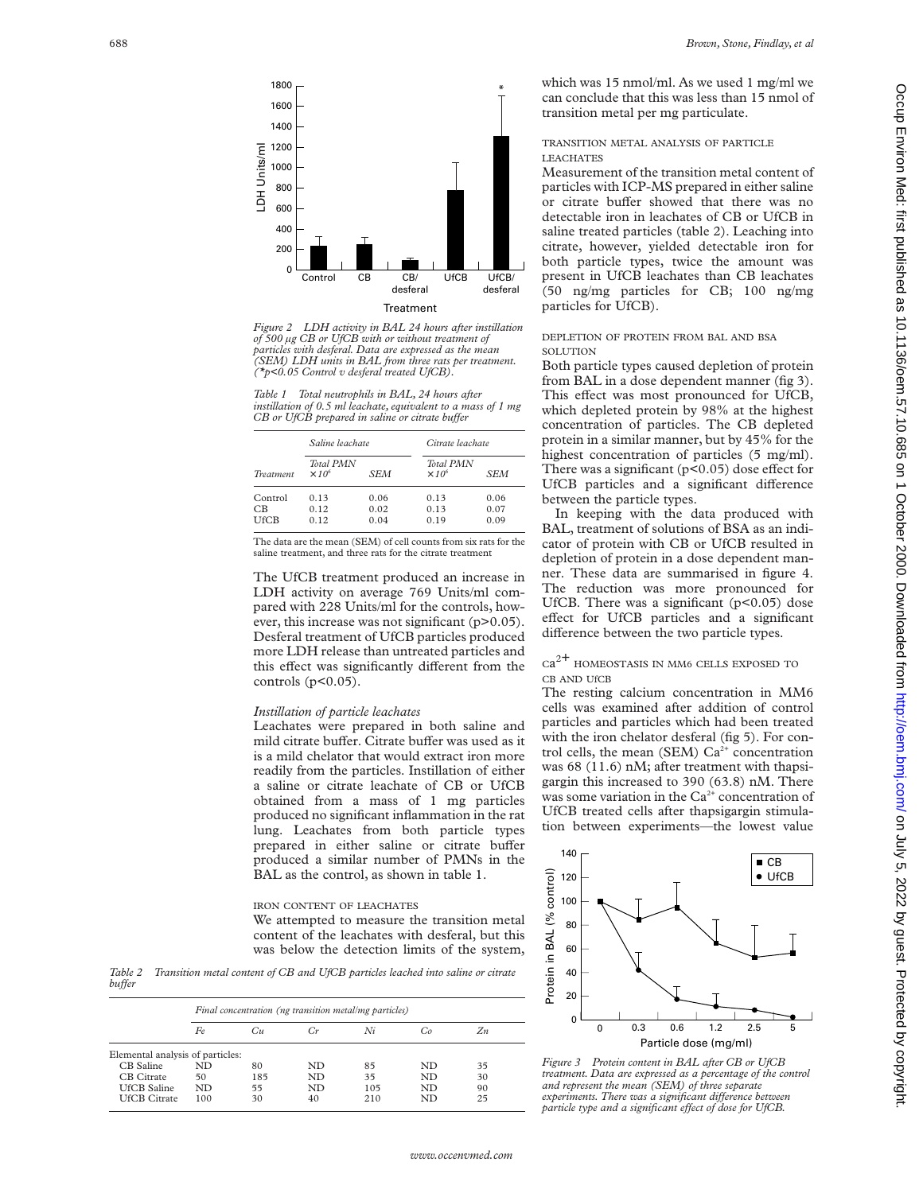

*Figure 2 LDH activity in BAL 24 hours after instillation of 500 µg CB or UfCB with or without treatment of particles with desferal. Data are expressed as the mean (SEM) LDH units in BAL from three rats per treatment. (\*p<0.05 Control v desferal treated UfCB).*

*Table 1 Total neutrophils in BAL, 24 hours after instillation of 0.5 ml leachate, equivalent to a mass of 1 mg CB* or UfCB prepared in saline or citrate buffer

| <b>Treatment</b>  | Saline leachate                   |              | Citrate leachate                  |              |  |
|-------------------|-----------------------------------|--------------|-----------------------------------|--------------|--|
|                   | <b>Total PMN</b><br>$\times 10^6$ | SEM          | <b>Total PMN</b><br>$\times 10^6$ | SEM          |  |
| Control           | 0.13                              | 0.06         | 0.13                              | 0.06         |  |
| CВ<br><b>UfCB</b> | 0.12<br>0.12                      | 0.02<br>0.04 | 0.13<br>0.19                      | 0.07<br>0.09 |  |

The data are the mean (SEM) of cell counts from six rats for the saline treatment, and three rats for the citrate treatment

The UfCB treatment produced an increase in LDH activity on average 769 Units/ml compared with 228 Units/ml for the controls, however, this increase was not significant (p>0.05). Desferal treatment of UfCB particles produced more LDH release than untreated particles and this effect was significantly different from the controls  $(p<0.05)$ .

## *Instillation of particle leachates*

Leachates were prepared in both saline and mild citrate buffer. Citrate buffer was used as it is a mild chelator that would extract iron more readily from the particles. Instillation of either a saline or citrate leachate of CB or UfCB obtained from a mass of 1 mg particles produced no significant inflammation in the rat lung. Leachates from both particle types prepared in either saline or citrate buffer produced a similar number of PMNs in the BAL as the control, as shown in table 1.

IRON CONTENT OF LEACHATES We attempted to measure the transition metal content of the leachates with desferal, but this was below the detection limits of the system,

*Table 2 Transition metal content of CB and UfCB particles leached into saline or citrate*  $b$ *u*<sup>ffer</sup>

|                                  | Final concentration (ng transition metal/mg particles) |     |    |     |    |       |  |
|----------------------------------|--------------------------------------------------------|-----|----|-----|----|-------|--|
|                                  | Fe                                                     | Cu  |    | Ni  | Gо | $Z_n$ |  |
| Elemental analysis of particles: |                                                        |     |    |     |    |       |  |
| CB Saline                        | ND                                                     | 80  | ND | 85  | ND | 35    |  |
| CB Citrate                       | 50                                                     | 185 | ND | 35  | ND | 30    |  |
| UfCB Saline                      | ND.                                                    | 55  | ND | 105 | ND | 90    |  |
| UfCB Citrate                     | 100                                                    | 30  | 40 | 210 | ND | 25    |  |

which was 15 nmol/ml. As we used 1 mg/ml we can conclude that this was less than 15 nmol of transition metal per mg particulate.

# TRANSITION METAL ANALYSIS OF PARTICLE LEACHATES

Measurement of the transition metal content of particles with ICP-MS prepared in either saline or citrate buffer showed that there was no detectable iron in leachates of CB or UfCB in saline treated particles (table 2). Leaching into citrate, however, yielded detectable iron for both particle types, twice the amount was present in UfCB leachates than CB leachates (50 ng/mg particles for CB; 100 ng/mg particles for UfCB).

## DEPLETION OF PROTEIN FROM BAL AND BSA **SOLUTION**

Both particle types caused depletion of protein from BAL in a dose dependent manner (fig 3). This effect was most pronounced for UfCB, which depleted protein by 98% at the highest concentration of particles. The CB depleted protein in a similar manner, but by 45% for the highest concentration of particles (5 mg/ml). There was a significant ( $p$ <0.05) dose effect for UfCB particles and a significant difference between the particle types.

In keeping with the data produced with BAL, treatment of solutions of BSA as an indicator of protein with CB or UfCB resulted in depletion of protein in a dose dependent manner. These data are summarised in figure 4. The reduction was more pronounced for UfCB. There was a significant  $(p<0.05)$  dose effect for UfCB particles and a significant difference between the two particle types.

Ca2+ HOMEOSTASIS IN MM6 CELLS EXPOSED TO CB AND UfCB

The resting calcium concentration in MM6 cells was examined after addition of control particles and particles which had been treated with the iron chelator desferal (fig 5). For control cells, the mean (SEM)  $Ca<sup>2+</sup>$  concentration was 68 (11.6) nM; after treatment with thapsigargin this increased to 390 (63.8) nM. There was some variation in the  $Ca<sup>2+</sup>$  concentration of UfCB treated cells after thapsigargin stimulation between experiments—the lowest value



*Figure 3 Protein content in BAL after CB or UfCB treatment. Data are expressed as a percentage of the control and represent the mean (SEM) of three separate experiments. There was a significant difference between particle type and a significant effect of dose for UfCB.*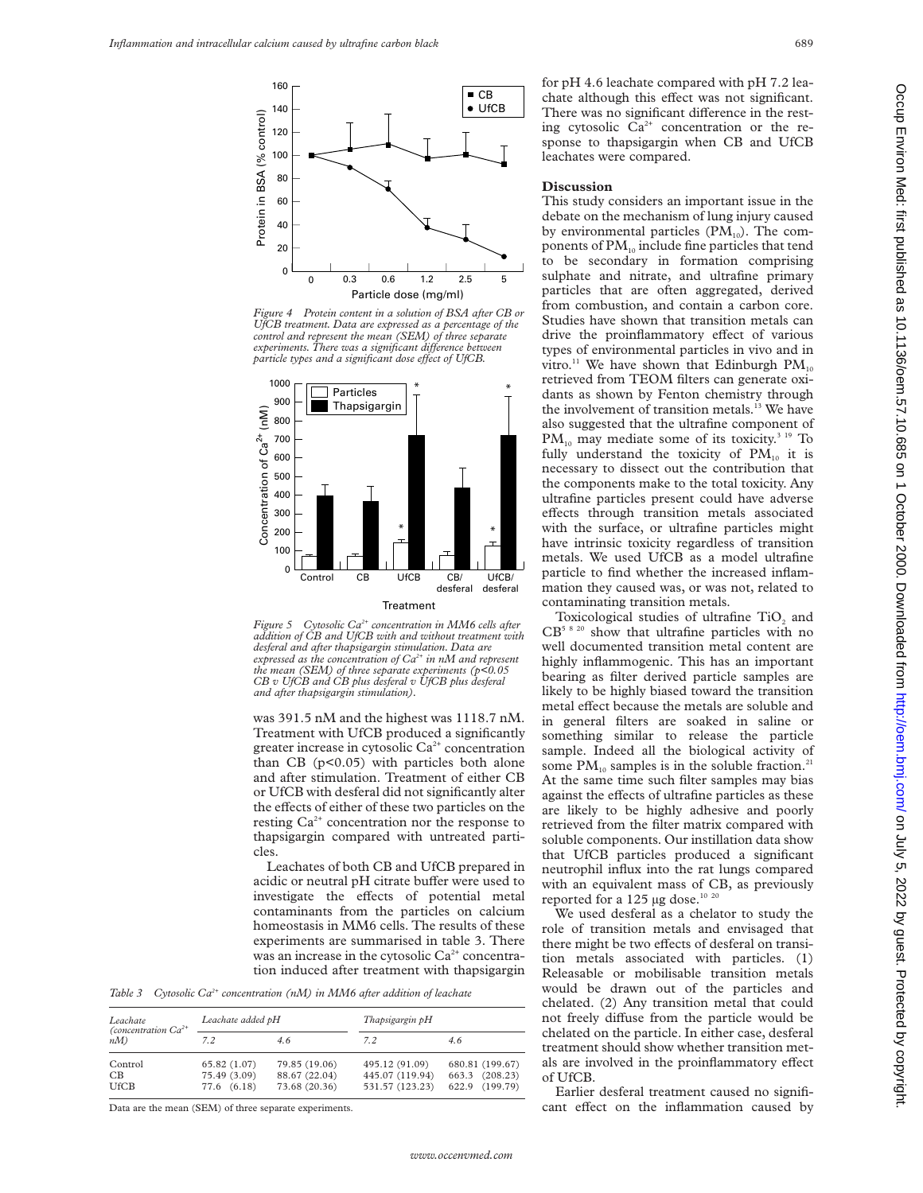

*Figure 4 Protein content in a solution of BSA after CB or UfCB treatment. Data are expressed as a percentage of the control and represent the mean (SEM) of three separate experiments. There was a significant diVerence between particle types and a significant dose effect of UfCB.* 





was 391.5 nM and the highest was 1118.7 nM. Treatment with UfCB produced a significantly greater increase in cytosolic  $Ca<sup>2+</sup>$  concentration than CB  $(p<0.05)$  with particles both alone and after stimulation. Treatment of either CB or UfCB with desferal did not significantly alter the effects of either of these two particles on the resting  $Ca^{2+}$  concentration nor the response to thapsigargin compared with untreated particles.

Leachates of both CB and UfCB prepared in acidic or neutral pH citrate buffer were used to investigate the effects of potential metal contaminants from the particles on calcium homeostasis in MM6 cells. The results of these experiments are summarised in table 3. There was an increase in the cytosolic  $Ca<sup>2+</sup>$  concentration induced after treatment with thapsigargin

*Table 3 Cytosolic Ca2+ concentration (nM) in MM6 after addition of leachate*

| Leachate                         | Leachate added pH            |                                | Thapsigargin pH                   |                                   |  |
|----------------------------------|------------------------------|--------------------------------|-----------------------------------|-----------------------------------|--|
| (concentration $Ca^{2+}$<br>n(M) | 7.2                          | 4.6                            | 7.2                               | 4.6                               |  |
| Control<br>CВ                    | 65.82 (1.07)<br>75.49 (3.09) | 79.85 (19.06)<br>88.67 (22.04) | 495.12 (91.09)<br>445.07 (119.94) | 680.81 (199.67)<br>663.3 (208.23) |  |
| <b>UfCB</b>                      | 77.6 (6.18)                  | 73.68 (20.36)                  | 531.57 (123.23)                   | 622.9 (199.79)                    |  |

Data are the mean (SEM) of three separate experiments.

for pH 4.6 leachate compared with pH 7.2 leachate although this effect was not significant. There was no significant difference in the resting cytosolic  $Ca^{2+}$  concentration or the response to thapsigargin when CB and UfCB leachates were compared.

#### **Discussion**

This study considers an important issue in the debate on the mechanism of lung injury caused by environmental particles  $(PM_{10})$ . The components of  $PM_{10}$  include fine particles that tend to be secondary in formation comprising sulphate and nitrate, and ultrafine primary particles that are often aggregated, derived from combustion, and contain a carbon core. Studies have shown that transition metals can drive the proinflammatory effect of various types of environmental particles in vivo and in vitro.<sup>11</sup> We have shown that Edinburgh  $PM_{10}$ retrieved from TEOM filters can generate oxidants as shown by Fenton chemistry through the involvement of transition metals.<sup>13</sup> We have also suggested that the ultrafine component of  $PM_{10}$  may mediate some of its toxicity.<sup>3 19</sup> To fully understand the toxicity of  $PM_{10}$  it is necessary to dissect out the contribution that the components make to the total toxicity. Any ultrafine particles present could have adverse effects through transition metals associated with the surface, or ultrafine particles might have intrinsic toxicity regardless of transition metals. We used UfCB as a model ultrafine particle to find whether the increased inflammation they caused was, or was not, related to contaminating transition metals.

Toxicological studies of ultrafine TiO<sub>2</sub> and  $CB<sup>5 8 20</sup>$  show that ultrafine particles with no well documented transition metal content are highly inflammogenic. This has an important bearing as filter derived particle samples are likely to be highly biased toward the transition metal effect because the metals are soluble and in general filters are soaked in saline or something similar to release the particle sample. Indeed all the biological activity of some  $PM_{10}$  samples is in the soluble fraction.<sup>21</sup> At the same time such filter samples may bias against the effects of ultrafine particles as these are likely to be highly adhesive and poorly retrieved from the filter matrix compared with soluble components. Our instillation data show that UfCB particles produced a significant neutrophil influx into the rat lungs compared with an equivalent mass of CB, as previously reported for a 125 µg dose.<sup>10 20</sup>

We used desferal as a chelator to study the role of transition metals and envisaged that there might be two effects of desferal on transition metals associated with particles. (1) Releasable or mobilisable transition metals would be drawn out of the particles and chelated. (2) Any transition metal that could not freely diffuse from the particle would be chelated on the particle. In either case, desferal treatment should show whether transition metals are involved in the proinflammatory effect of UfCB.

Earlier desferal treatment caused no significant effect on the inflammation caused by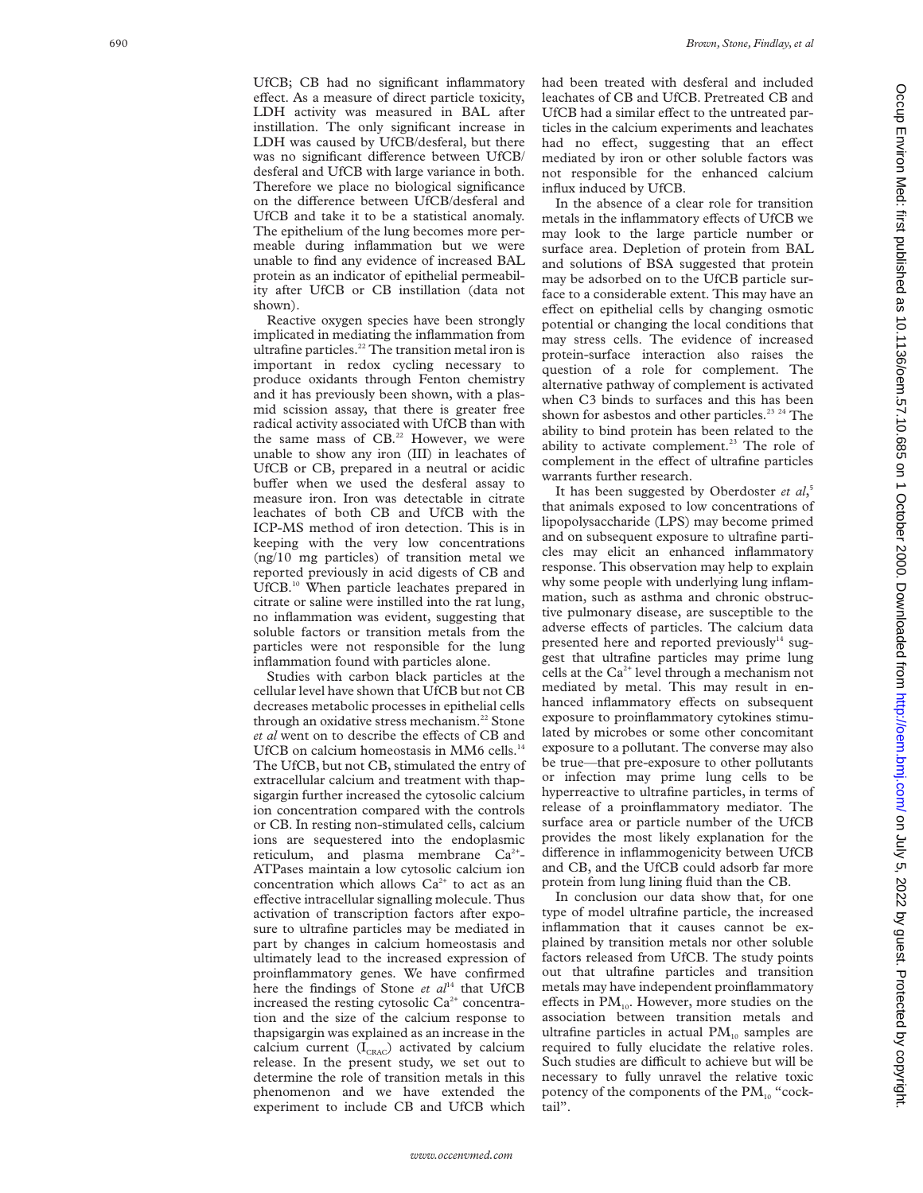UfCB; CB had no significant inflammatory effect. As a measure of direct particle toxicity, LDH activity was measured in BAL after instillation. The only significant increase in LDH was caused by UfCB/desferal, but there was no significant difference between UfCB/ desferal and UfCB with large variance in both. Therefore we place no biological significance on the difference between UfCB/desferal and UfCB and take it to be a statistical anomaly. The epithelium of the lung becomes more permeable during inflammation but we were unable to find any evidence of increased BAL protein as an indicator of epithelial permeability after UfCB or CB instillation (data not shown).

Reactive oxygen species have been strongly implicated in mediating the inflammation from ultrafine particles.<sup>22</sup> The transition metal iron is important in redox cycling necessary to produce oxidants through Fenton chemistry and it has previously been shown, with a plasmid scission assay, that there is greater free radical activity associated with UfCB than with the same mass of CB.<sup>22</sup> However, we were unable to show any iron (III) in leachates of UfCB or CB, prepared in a neutral or acidic buffer when we used the desferal assay to measure iron. Iron was detectable in citrate leachates of both CB and UfCB with the ICP-MS method of iron detection. This is in keeping with the very low concentrations (ng/10 mg particles) of transition metal we reported previously in acid digests of CB and UfCB.10 When particle leachates prepared in citrate or saline were instilled into the rat lung, no inflammation was evident, suggesting that soluble factors or transition metals from the particles were not responsible for the lung inflammation found with particles alone.

Studies with carbon black particles at the cellular level have shown that UfCB but not CB decreases metabolic processes in epithelial cells through an oxidative stress mechanism.<sup>22</sup> Stone et al went on to describe the effects of CB and UfCB on calcium homeostasis in MM6 cells.<sup>14</sup> The UfCB, but not CB, stimulated the entry of extracellular calcium and treatment with thapsigargin further increased the cytosolic calcium ion concentration compared with the controls or CB. In resting non-stimulated cells, calcium ions are sequestered into the endoplasmic reticulum, and plasma membrane Ca<sup>2+</sup>-ATPases maintain a low cytosolic calcium ion concentration which allows  $Ca^{2+}$  to act as an effective intracellular signalling molecule. Thus activation of transcription factors after exposure to ultrafine particles may be mediated in part by changes in calcium homeostasis and ultimately lead to the increased expression of proinflammatory genes. We have confirmed here the findings of Stone *et al*<sup>14</sup> that UfCB increased the resting cytosolic  $Ca<sup>2+</sup>$  concentration and the size of the calcium response to thapsigargin was explained as an increase in the calcium current  $(I_{CRAC})$  activated by calcium release. In the present study, we set out to determine the role of transition metals in this phenomenon and we have extended the experiment to include CB and UfCB which

had been treated with desferal and included leachates of CB and UfCB. Pretreated CB and UfCB had a similar effect to the untreated particles in the calcium experiments and leachates had no effect, suggesting that an effect mediated by iron or other soluble factors was not responsible for the enhanced calcium influx induced by UfCB.

In the absence of a clear role for transition metals in the inflammatory effects of UfCB we may look to the large particle number or surface area. Depletion of protein from BAL and solutions of BSA suggested that protein may be adsorbed on to the UfCB particle surface to a considerable extent. This may have an effect on epithelial cells by changing osmotic potential or changing the local conditions that may stress cells. The evidence of increased protein-surface interaction also raises the question of a role for complement. The alternative pathway of complement is activated when C3 binds to surfaces and this has been shown for asbestos and other particles.<sup>23 24</sup> The ability to bind protein has been related to the ability to activate complement.<sup>23</sup> The role of complement in the effect of ultrafine particles warrants further research.

It has been suggested by Oberdoster *et al*, 5 that animals exposed to low concentrations of lipopolysaccharide (LPS) may become primed and on subsequent exposure to ultrafine particles may elicit an enhanced inflammatory response. This observation may help to explain why some people with underlying lung inflammation, such as asthma and chronic obstructive pulmonary disease, are susceptible to the adverse effects of particles. The calcium data presented here and reported previously<sup>14</sup> suggest that ultrafine particles may prime lung cells at the  $Ca^{2+}$  level through a mechanism not mediated by metal. This may result in enhanced inflammatory effects on subsequent exposure to proinflammatory cytokines stimulated by microbes or some other concomitant exposure to a pollutant. The converse may also be true—that pre-exposure to other pollutants or infection may prime lung cells to be hyperreactive to ultrafine particles, in terms of release of a proinflammatory mediator. The surface area or particle number of the UfCB provides the most likely explanation for the difference in inflammogenicity between UfCB and CB, and the UfCB could adsorb far more protein from lung lining fluid than the CB.

In conclusion our data show that, for one type of model ultrafine particle, the increased inflammation that it causes cannot be explained by transition metals nor other soluble factors released from UfCB. The study points out that ultrafine particles and transition metals may have independent proinflammatory effects in  $PM_{10}$ . However, more studies on the association between transition metals and ultrafine particles in actual  $PM_{10}$  samples are required to fully elucidate the relative roles. Such studies are difficult to achieve but will be necessary to fully unravel the relative toxic potency of the components of the  $PM_{10}$  "cocktail".